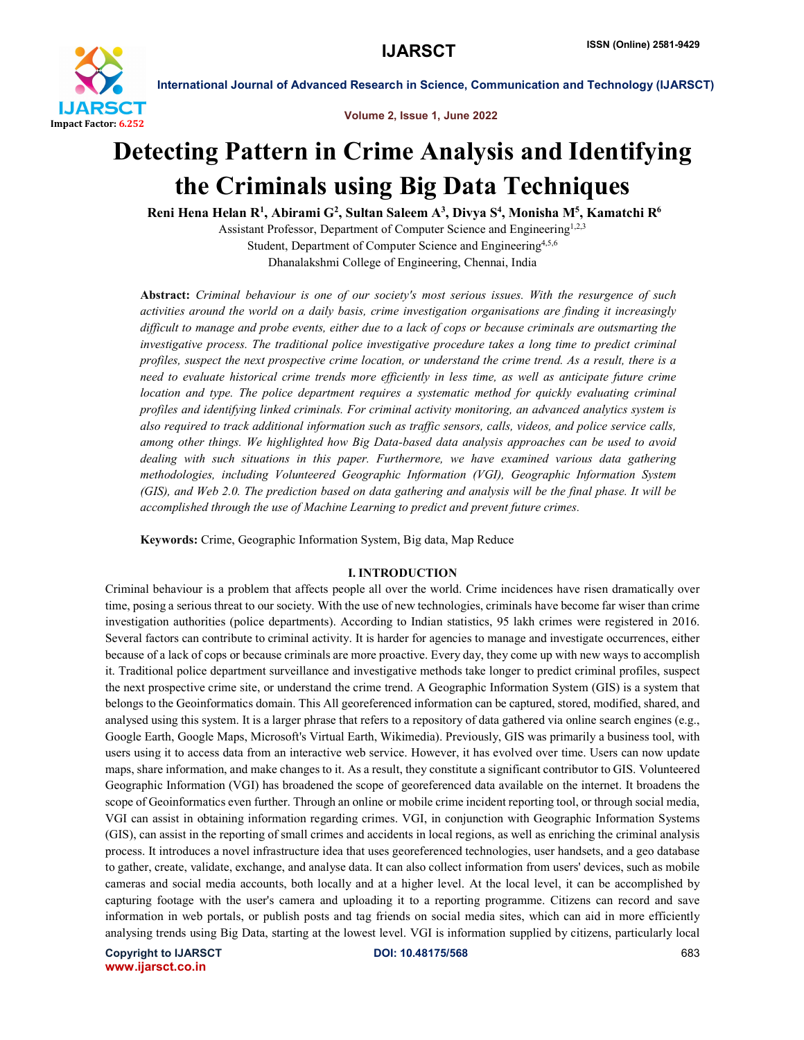

Volume 2, Issue 1, June 2022

# Detecting Pattern in Crime Analysis and Identifying the Criminals using Big Data Techniques

Reni Hena Helan R<sup>1</sup>, Abirami G<sup>2</sup>, Sultan Saleem A<sup>3</sup>, Divya S<sup>4</sup>, Monisha M<sup>5</sup>, Kamatchi R<sup>6</sup>

Assistant Professor, Department of Computer Science and Engineering<sup>1,2,3</sup> Student, Department of Computer Science and Engineering<sup>4,5,6</sup> Dhanalakshmi College of Engineering, Chennai, India

Abstract: *Criminal behaviour is one of our society's most serious issues. With the resurgence of such activities around the world on a daily basis, crime investigation organisations are finding it increasingly difficult to manage and probe events, either due to a lack of cops or because criminals are outsmarting the investigative process. The traditional police investigative procedure takes a long time to predict criminal profiles, suspect the next prospective crime location, or understand the crime trend. As a result, there is a need to evaluate historical crime trends more efficiently in less time, as well as anticipate future crime location and type. The police department requires a systematic method for quickly evaluating criminal profiles and identifying linked criminals. For criminal activity monitoring, an advanced analytics system is also required to track additional information such as traffic sensors, calls, videos, and police service calls, among other things. We highlighted how Big Data-based data analysis approaches can be used to avoid dealing with such situations in this paper. Furthermore, we have examined various data gathering methodologies, including Volunteered Geographic Information (VGI), Geographic Information System (GIS), and Web 2.0. The prediction based on data gathering and analysis will be the final phase. It will be accomplished through the use of Machine Learning to predict and prevent future crimes.*

Keywords: Crime, Geographic Information System, Big data, Map Reduce

### I. INTRODUCTION

Criminal behaviour is a problem that affects people all over the world. Crime incidences have risen dramatically over time, posing a serious threat to our society. With the use of new technologies, criminals have become far wiser than crime investigation authorities (police departments). According to Indian statistics, 95 lakh crimes were registered in 2016. Several factors can contribute to criminal activity. It is harder for agencies to manage and investigate occurrences, either because of a lack of cops or because criminals are more proactive. Every day, they come up with new ways to accomplish it. Traditional police department surveillance and investigative methods take longer to predict criminal profiles, suspect the next prospective crime site, or understand the crime trend. A Geographic Information System (GIS) is a system that belongs to the Geoinformatics domain. This All georeferenced information can be captured, stored, modified, shared, and analysed using this system. It is a larger phrase that refers to a repository of data gathered via online search engines (e.g., Google Earth, Google Maps, Microsoft's Virtual Earth, Wikimedia). Previously, GIS was primarily a business tool, with users using it to access data from an interactive web service. However, it has evolved over time. Users can now update maps, share information, and make changes to it. As a result, they constitute a significant contributor to GIS. Volunteered Geographic Information (VGI) has broadened the scope of georeferenced data available on the internet. It broadens the scope of Geoinformatics even further. Through an online or mobile crime incident reporting tool, or through social media, VGI can assist in obtaining information regarding crimes. VGI, in conjunction with Geographic Information Systems (GIS), can assist in the reporting of small crimes and accidents in local regions, as well as enriching the criminal analysis process. It introduces a novel infrastructure idea that uses georeferenced technologies, user handsets, and a geo database to gather, create, validate, exchange, and analyse data. It can also collect information from users' devices, such as mobile cameras and social media accounts, both locally and at a higher level. At the local level, it can be accomplished by capturing footage with the user's camera and uploading it to a reporting programme. Citizens can record and save information in web portals, or publish posts and tag friends on social media sites, which can aid in more efficiently analysing trends using Big Data, starting at the lowest level. VGI is information supplied by citizens, particularly local

Copyright to IJARSCT **DOI: 10.48175/568** 683 www.ijarsct.co.in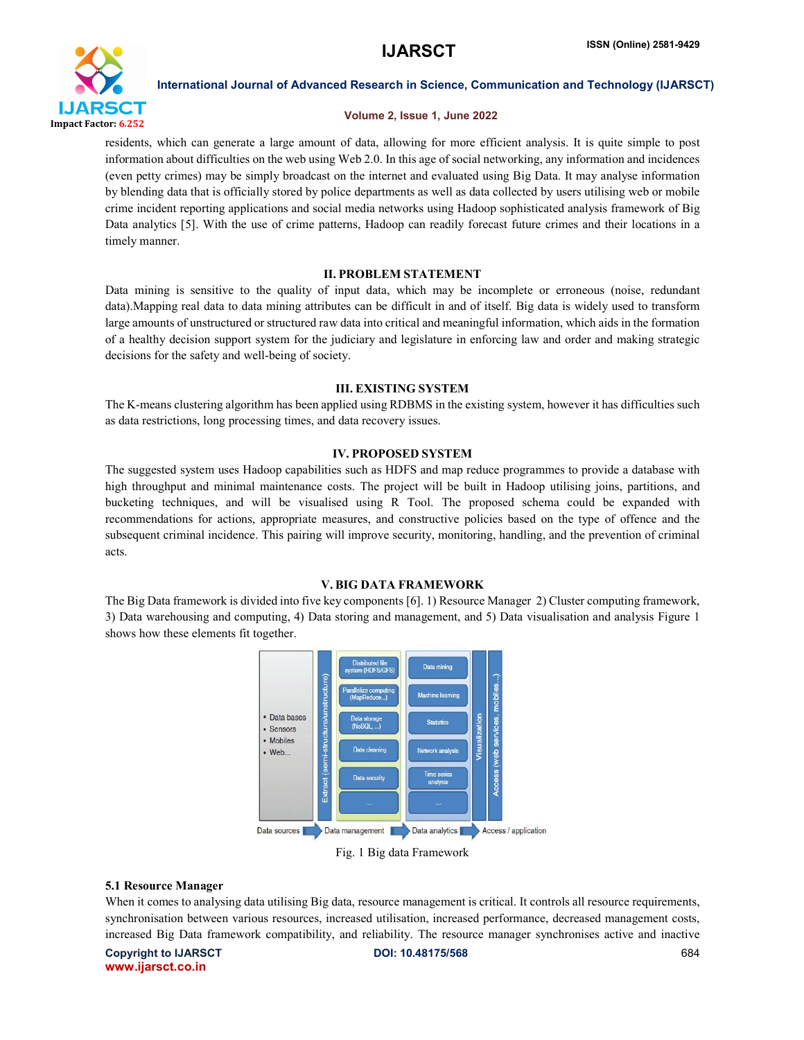

# Volume 2, Issue 1, June 2022

residents, which can generate a large amount of data, allowing for more efficient analysis. It is quite simple to post information about difficulties on the web using Web 2.0. In this age of social networking, any information and incidences (even petty crimes) may be simply broadcast on the internet and evaluated using Big Data. It may analyse information by blending data that is officially stored by police departments as well as data collected by users utilising web or mobile crime incident reporting applications and social media networks using Hadoop sophisticated analysis framework of Big Data analytics [5]. With the use of crime patterns, Hadoop can readily forecast future crimes and their locations in a timely manner.

# II. PROBLEM STATEMENT

Data mining is sensitive to the quality of input data, which may be incomplete or erroneous (noise, redundant data).Mapping real data to data mining attributes can be difficult in and of itself. Big data is widely used to transform large amounts of unstructured or structured raw data into critical and meaningful information, which aids in the formation of a healthy decision support system for the judiciary and legislature in enforcing law and order and making strategic decisions for the safety and well-being of society.

### III. EXISTING SYSTEM

The K-means clustering algorithm has been applied using RDBMS in the existing system, however it has difficulties such as data restrictions, long processing times, and data recovery issues.

### IV. PROPOSED SYSTEM

The suggested system uses Hadoop capabilities such as HDFS and map reduce programmes to provide a database with high throughput and minimal maintenance costs. The project will be built in Hadoop utilising joins, partitions, and bucketing techniques, and will be visualised using R Tool. The proposed schema could be expanded with recommendations for actions, appropriate measures, and constructive policies based on the type of offence and the subsequent criminal incidence. This pairing will improve security, monitoring, handling, and the prevention of criminal acts.

### V. BIG DATA FRAMEWORK

The Big Data framework is divided into five key components [6]. 1) Resource Manager 2) Cluster computing framework, 3) Data warehousing and computing, 4) Data storing and management, and 5) Data visualisation and analysis Figure 1 shows how these elements fit together.





### 5.1 Resource Manager

When it comes to analysing data utilising Big data, resource management is critical. It controls all resource requirements, synchronisation between various resources, increased utilisation, increased performance, decreased management costs, increased Big Data framework compatibility, and reliability. The resource manager synchronises active and inactive

Copyright to IJARSCT **DOI: 10.48175/568** 684 www.ijarsct.co.in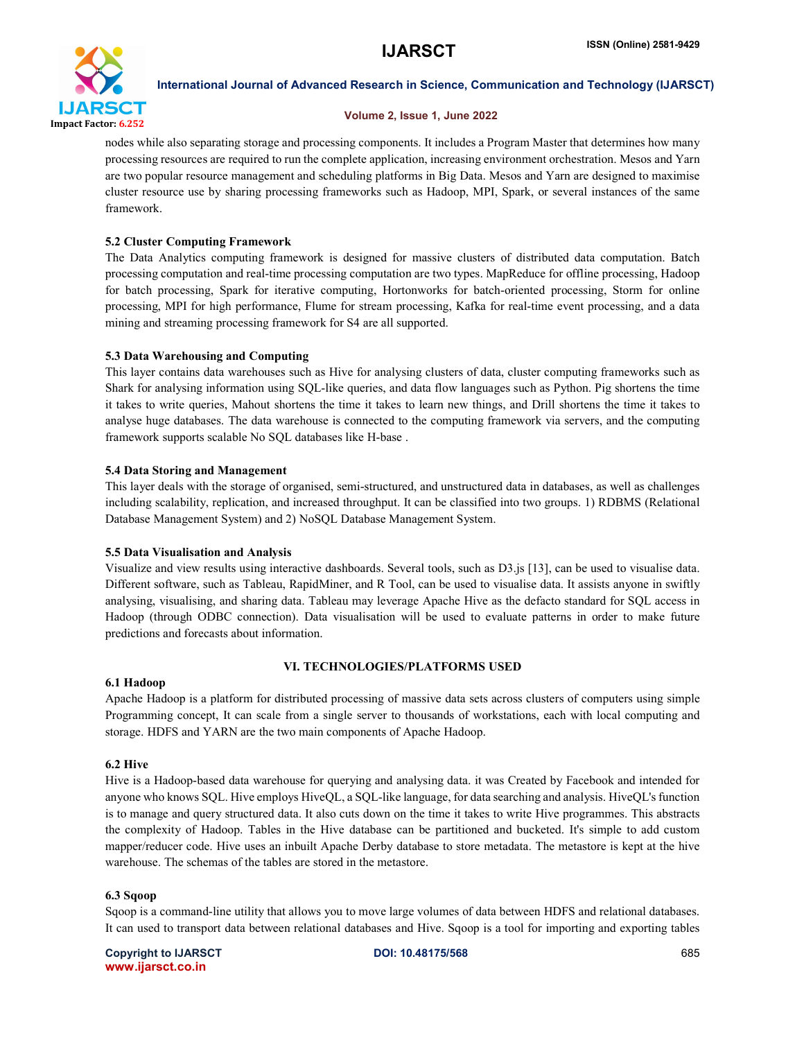

# Volume 2, Issue 1, June 2022

nodes while also separating storage and processing components. It includes a Program Master that determines how many processing resources are required to run the complete application, increasing environment orchestration. Mesos and Yarn are two popular resource management and scheduling platforms in Big Data. Mesos and Yarn are designed to maximise cluster resource use by sharing processing frameworks such as Hadoop, MPI, Spark, or several instances of the same framework.

# 5.2 Cluster Computing Framework

The Data Analytics computing framework is designed for massive clusters of distributed data computation. Batch processing computation and real-time processing computation are two types. MapReduce for offline processing, Hadoop for batch processing, Spark for iterative computing, Hortonworks for batch-oriented processing, Storm for online processing, MPI for high performance, Flume for stream processing, Kafka for real-time event processing, and a data mining and streaming processing framework for S4 are all supported.

# 5.3 Data Warehousing and Computing

This layer contains data warehouses such as Hive for analysing clusters of data, cluster computing frameworks such as Shark for analysing information using SQL-like queries, and data flow languages such as Python. Pig shortens the time it takes to write queries, Mahout shortens the time it takes to learn new things, and Drill shortens the time it takes to analyse huge databases. The data warehouse is connected to the computing framework via servers, and the computing framework supports scalable No SQL databases like H-base .

# 5.4 Data Storing and Management

This layer deals with the storage of organised, semi-structured, and unstructured data in databases, as well as challenges including scalability, replication, and increased throughput. It can be classified into two groups. 1) RDBMS (Relational Database Management System) and 2) NoSQL Database Management System.

### 5.5 Data Visualisation and Analysis

Visualize and view results using interactive dashboards. Several tools, such as D3.js [13], can be used to visualise data. Different software, such as Tableau, RapidMiner, and R Tool, can be used to visualise data. It assists anyone in swiftly analysing, visualising, and sharing data. Tableau may leverage Apache Hive as the defacto standard for SQL access in Hadoop (through ODBC connection). Data visualisation will be used to evaluate patterns in order to make future predictions and forecasts about information.

# VI. TECHNOLOGIES/PLATFORMS USED

### 6.1 Hadoop

Apache Hadoop is a platform for distributed processing of massive data sets across clusters of computers using simple Programming concept, It can scale from a single server to thousands of workstations, each with local computing and storage. HDFS and YARN are the two main components of Apache Hadoop.

### 6.2 Hive

Hive is a Hadoop-based data warehouse for querying and analysing data. it was Created by Facebook and intended for anyone who knows SQL. Hive employs HiveQL, a SQL-like language, for data searching and analysis. HiveQL's function is to manage and query structured data. It also cuts down on the time it takes to write Hive programmes. This abstracts the complexity of Hadoop. Tables in the Hive database can be partitioned and bucketed. It's simple to add custom mapper/reducer code. Hive uses an inbuilt Apache Derby database to store metadata. The metastore is kept at the hive warehouse. The schemas of the tables are stored in the metastore.

### 6.3 Sqoop

Sqoop is a command-line utility that allows you to move large volumes of data between HDFS and relational databases. It can used to transport data between relational databases and Hive. Sqoop is a tool for importing and exporting tables

Copyright to IJARSCT **DOI: 10.48175/568** 685 www.ijarsct.co.in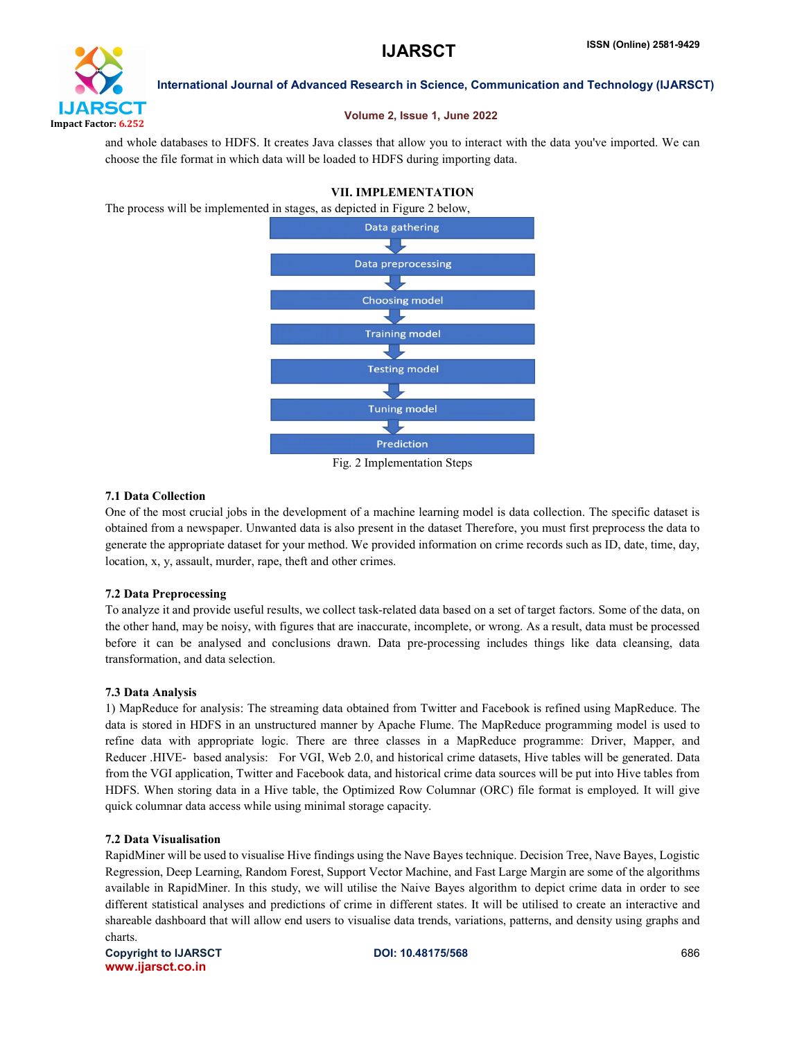

# Volume 2, Issue 1, June 2022

and whole databases to HDFS. It creates Java classes that allow you to interact with the data you've imported. We can choose the file format in which data will be loaded to HDFS during importing data.

# VII. IMPLEMENTATION

The process will be implemented in stages, as depicted in Figure 2 below,



Fig. 2 Implementation Steps

# 7.1 Data Collection

One of the most crucial jobs in the development of a machine learning model is data collection. The specific dataset is obtained from a newspaper. Unwanted data is also present in the dataset Therefore, you must first preprocess the data to generate the appropriate dataset for your method. We provided information on crime records such as ID, date, time, day, location, x, y, assault, murder, rape, theft and other crimes.

# 7.2 Data Preprocessing

To analyze it and provide useful results, we collect task-related data based on a set of target factors. Some of the data, on the other hand, may be noisy, with figures that are inaccurate, incomplete, or wrong. As a result, data must be processed before it can be analysed and conclusions drawn. Data pre-processing includes things like data cleansing, data transformation, and data selection.

### 7.3 Data Analysis

1) MapReduce for analysis: The streaming data obtained from Twitter and Facebook is refined using MapReduce. The data is stored in HDFS in an unstructured manner by Apache Flume. The MapReduce programming model is used to refine data with appropriate logic. There are three classes in a MapReduce programme: Driver, Mapper, and Reducer .HIVE- based analysis: For VGI, Web 2.0, and historical crime datasets, Hive tables will be generated. Data from the VGI application, Twitter and Facebook data, and historical crime data sources will be put into Hive tables from HDFS. When storing data in a Hive table, the Optimized Row Columnar (ORC) file format is employed. It will give quick columnar data access while using minimal storage capacity.

# 7.2 Data Visualisation

RapidMiner will be used to visualise Hive findings using the Nave Bayes technique. Decision Tree, Nave Bayes, Logistic Regression, Deep Learning, Random Forest, Support Vector Machine, and Fast Large Margin are some of the algorithms available in RapidMiner. In this study, we will utilise the Naive Bayes algorithm to depict crime data in order to see different statistical analyses and predictions of crime in different states. It will be utilised to create an interactive and shareable dashboard that will allow end users to visualise data trends, variations, patterns, and density using graphs and charts.

Copyright to IJARSCT **DOI: 10.48175/568** 686 www.ijarsct.co.in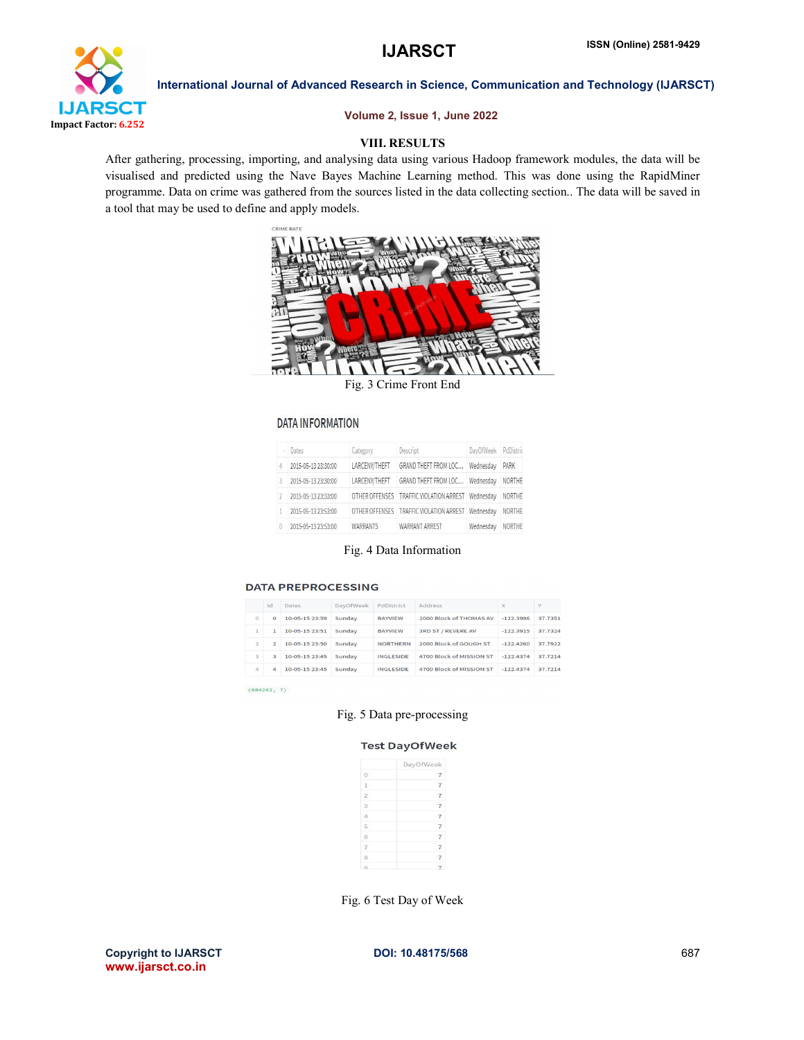

# Volume 2, Issue 1, June 2022

# VIII. RESULTS

After gathering, processing, importing, and analysing data using various Hadoop framework modules, the data will be visualised and predicted using the Nave Bayes Machine Learning method. This was done using the RapidMiner programme. Data on crime was gathered from the sources listed in the data collecting section.. The data will be saved in a tool that may be used to define and apply models.



Fig. 3 Crime Front End

#### **DATA INFORMATION**

|   | Dates.              | Category        | Descript                 | DayOfWeek PdDistric |        |
|---|---------------------|-----------------|--------------------------|---------------------|--------|
|   | 2015-05-13 23:30:00 | LARCENY/THEFT   | GRAND THEFT FROM LOC     | Wednesday           | PARK   |
| R | 2015-05-13 23:30:00 | LARCENY/THEFT   | GRAND THEFT FROM LOC     | Wednesdav           | NORTHE |
|   | 2015-05-13 23:33:00 | OTHER OFFENSES  | TRAFFIC VIOLATION ARREST | Wednesdav           | NORTHE |
|   | 2015-05-13 23:53:00 | OTHER OFFENSES  | TRAFFIC VIOLATION ARREST | Wednesdav           | NORTHE |
|   | 2015-05-13 23:53:00 | <b>WARRANTS</b> | WARRANT ARREST           | Wednesdav           | NORTHE |

### Fig. 4 Data Information

#### **DATA PREPROCESSING**

|                | Id            | Dates           | DayOfWeek | PdDistrict       | Address                  | $\times$    | Y       |
|----------------|---------------|-----------------|-----------|------------------|--------------------------|-------------|---------|
| $\circ$        | $\Omega$      | 10-05-15 23:59  | Sunday    | <b>BAYVIEW</b>   | 2000 Block of THOMAS AV  | $-122.3996$ | 37.7351 |
| $\mathbf{1}$   |               | $10-05-1523:51$ | Sunday    | <b>BAYVIEW</b>   | 3RD ST / REVERE AV       | $-122.3915$ | 37.7324 |
| $\overline{2}$ | $\mathcal{P}$ | 10-05-15 23:50  | Sunday    | <b>NORTHERN</b>  | 2000 Block of GOUGH ST   | $-122.4260$ | 37.7922 |
| 3              | 3             | 10-05-15 23:45  | Sunday    | INGLESIDE        | 4700 Block of MISSION ST | $-122.4374$ | 37.7214 |
| $\overline{4}$ | $\Delta$      | 10-05-15 23:45  | Sunday    | <b>INGLESIDE</b> | 4700 Block of MISSION ST | $-122.4374$ | 37.7214 |

 $(884262, 7)$ 

# Fig. 5 Data pre-processing

#### **Test DayOfWeek**

|                | DayOfWeek                |
|----------------|--------------------------|
| $\circ$        |                          |
| 1              | $\overline{7}$           |
| $\overline{2}$ |                          |
| $\mathbf{3}$   | $\overline{7}$           |
| 4              |                          |
| $\overline{5}$ | $\overline{\phantom{a}}$ |
| 6              |                          |
| $\tau$         | $\overline{\phantom{a}}$ |
| 8              |                          |
|                |                          |

Fig. 6 Test Day of Week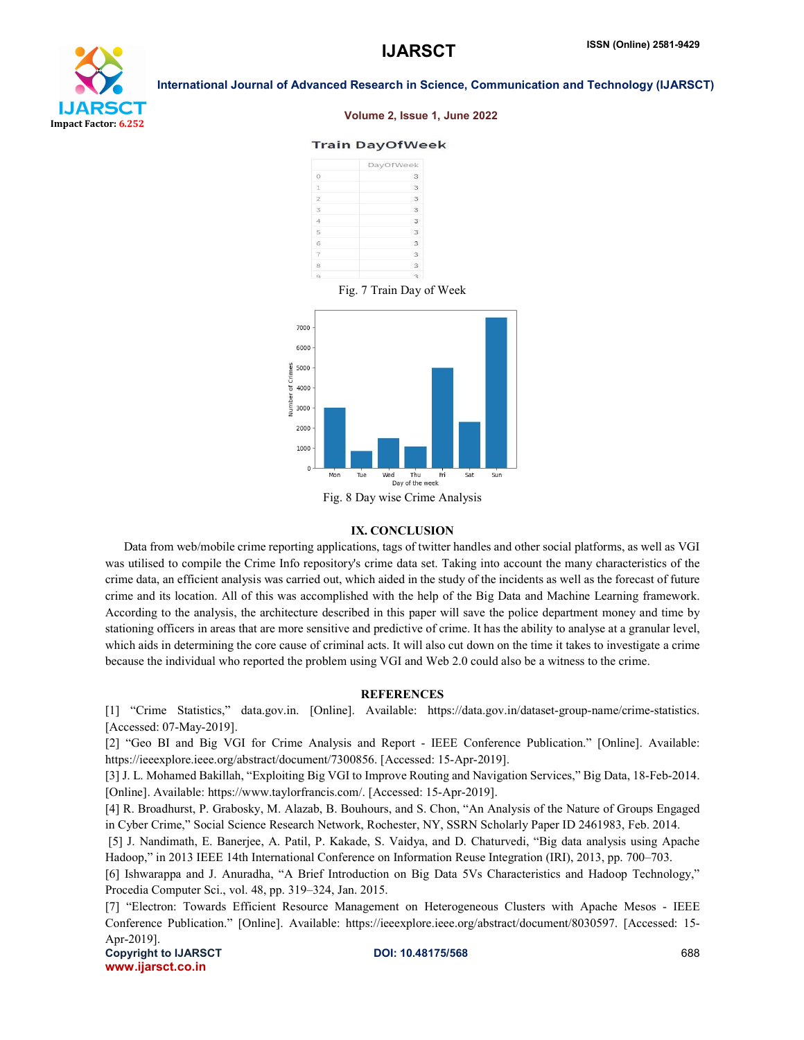

#### Volume 2, Issue 1, June 2022

#### **Train DayOfWeek**





Fig. 8 Day wise Crime Analysis

#### IX. CONCLUSION

 Data from web/mobile crime reporting applications, tags of twitter handles and other social platforms, as well as VGI was utilised to compile the Crime Info repository's crime data set. Taking into account the many characteristics of the crime data, an efficient analysis was carried out, which aided in the study of the incidents as well as the forecast of future crime and its location. All of this was accomplished with the help of the Big Data and Machine Learning framework. According to the analysis, the architecture described in this paper will save the police department money and time by stationing officers in areas that are more sensitive and predictive of crime. It has the ability to analyse at a granular level, which aids in determining the core cause of criminal acts. It will also cut down on the time it takes to investigate a crime because the individual who reported the problem using VGI and Web 2.0 could also be a witness to the crime.

#### **REFERENCES**

[1] "Crime Statistics," data.gov.in. [Online]. Available: https://data.gov.in/dataset-group-name/crime-statistics. [Accessed: 07-May-2019].

[2] "Geo BI and Big VGI for Crime Analysis and Report - IEEE Conference Publication." [Online]. Available: https://ieeexplore.ieee.org/abstract/document/7300856. [Accessed: 15-Apr-2019].

[3] J. L. Mohamed Bakillah, "Exploiting Big VGI to Improve Routing and Navigation Services," Big Data, 18-Feb-2014. [Online]. Available: https://www.taylorfrancis.com/. [Accessed: 15-Apr-2019].

[4] R. Broadhurst, P. Grabosky, M. Alazab, B. Bouhours, and S. Chon, "An Analysis of the Nature of Groups Engaged in Cyber Crime," Social Science Research Network, Rochester, NY, SSRN Scholarly Paper ID 2461983, Feb. 2014.

[5] J. Nandimath, E. Banerjee, A. Patil, P. Kakade, S. Vaidya, and D. Chaturvedi, "Big data analysis using Apache Hadoop," in 2013 IEEE 14th International Conference on Information Reuse Integration (IRI), 2013, pp. 700–703.

[6] Ishwarappa and J. Anuradha, "A Brief Introduction on Big Data 5Vs Characteristics and Hadoop Technology," Procedia Computer Sci., vol. 48, pp. 319–324, Jan. 2015.

[7] "Electron: Towards Efficient Resource Management on Heterogeneous Clusters with Apache Mesos - IEEE Conference Publication." [Online]. Available: https://ieeexplore.ieee.org/abstract/document/8030597. [Accessed: 15- Apr-2019].

Copyright to IJARSCT **DOI: 10.48175/568 Copyright to IJARSCT** 688 www.ijarsct.co.in